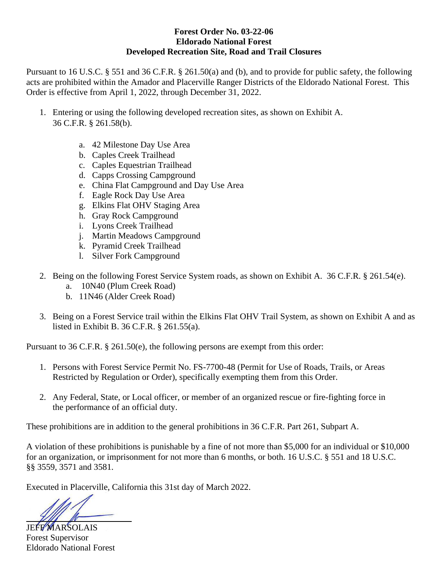## **Forest Order No. 03-22-06 Eldorado National Forest Developed Recreation Site, Road and Trail Closures**

Pursuant to 16 U.S.C. § 551 and 36 C.F.R. § 261.50(a) and (b), and to provide for public safety, the following acts are prohibited within the Amador and Placerville Ranger Districts of the Eldorado National Forest. This Order is effective from April 1, 2022, through December 31, 2022.

- 1. Entering or using the following developed recreation sites, as shown on Exhibit A. 36 C.F.R. § 261.58(b).
	- a. 42 Milestone Day Use Area
	- b. Caples Creek Trailhead
	- c. Caples Equestrian Trailhead
	- d. Capps Crossing Campground
	- e. China Flat Campground and Day Use Area
	- f. Eagle Rock Day Use Area
	- g. Elkins Flat OHV Staging Area
	- h. Gray Rock Campground
	- i. Lyons Creek Trailhead
	- j. Martin Meadows Campground
	- k. Pyramid Creek Trailhead
	- l. Silver Fork Campground
- 2. Being on the following Forest Service System roads, as shown on Exhibit A. 36 C.F.R. § 261.54(e).
	- a. 10N40 (Plum Creek Road)
	- b. 11N46 (Alder Creek Road)
- 3. Being on a Forest Service trail within the Elkins Flat OHV Trail System, as shown on Exhibit A and as listed in Exhibit B. 36 C.F.R. § 261.55(a).

Pursuant to 36 C.F.R. § 261.50(e), the following persons are exempt from this order:

- 1. Persons with Forest Service Permit No. FS-7700-48 (Permit for Use of Roads, Trails, or Areas Restricted by Regulation or Order), specifically exempting them from this Order.
- 2. Any Federal, State, or Local officer, or member of an organized rescue or fire-fighting force in the performance of an official duty.

These prohibitions are in addition to the general prohibitions in 36 C.F.R. Part 261, Subpart A.

A violation of these prohibitions is punishable by a fine of not more than \$5,000 for an individual or \$10,000 for an organization, or imprisonment for not more than 6 months, or both. 16 U.S.C. § 551 and 18 U.S.C. §§ 3559, 3571 and 3581.

Executed in Placerville, California this 31st day of March 2022.

JEFF MARSOLAIS

Forest Supervisor Eldorado National Forest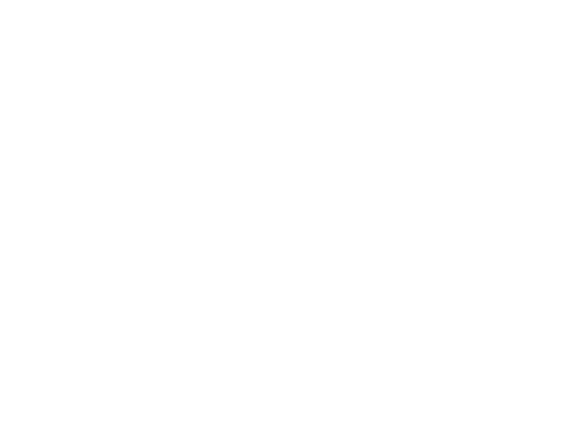